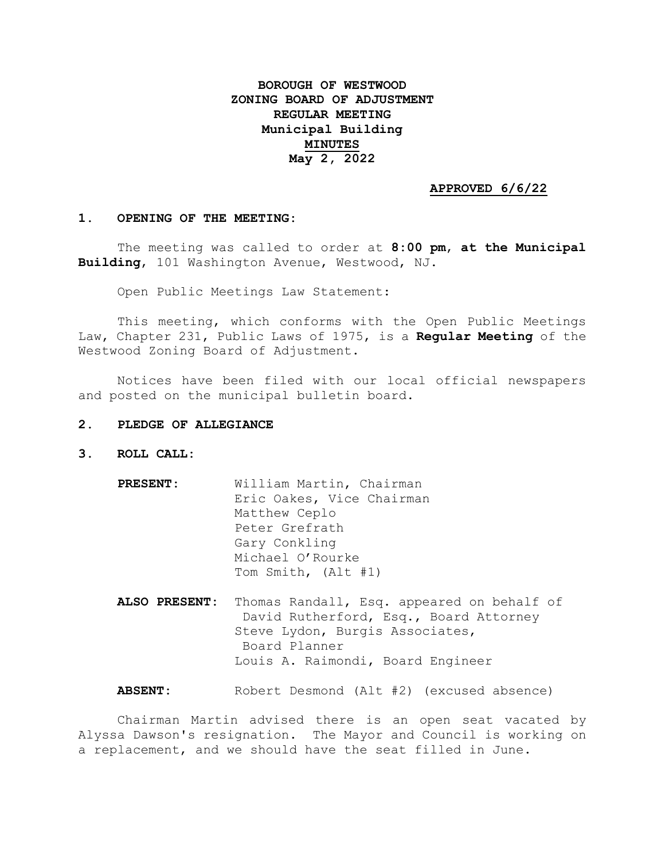# **BOROUGH OF WESTWOOD ZONING BOARD OF ADJUSTMENT REGULAR MEETING Municipal Building MINUTES May 2, 2022**

## **APPROVED 6/6/22**

#### **1. OPENING OF THE MEETING:**

The meeting was called to order at **8:00 pm**, **at the Municipal Building**, 101 Washington Avenue, Westwood, NJ.

Open Public Meetings Law Statement:

This meeting, which conforms with the Open Public Meetings Law, Chapter 231, Public Laws of 1975, is a **Regular Meeting** of the Westwood Zoning Board of Adjustment.

Notices have been filed with our local official newspapers and posted on the municipal bulletin board.

## **2. PLEDGE OF ALLEGIANCE**

- **3. ROLL CALL:**
	- **PRESENT:** William Martin, Chairman Eric Oakes, Vice Chairman Matthew Ceplo Peter Grefrath Gary Conkling Michael O'Rourke Tom Smith, (Alt #1)
	- **ALSO PRESENT:** Thomas Randall, Esq. appeared on behalf of David Rutherford, Esq., Board Attorney Steve Lydon, Burgis Associates, Board Planner Louis A. Raimondi, Board Engineer

**ABSENT:** Robert Desmond (Alt #2) (excused absence)

Chairman Martin advised there is an open seat vacated by Alyssa Dawson's resignation. The Mayor and Council is working on a replacement, and we should have the seat filled in June.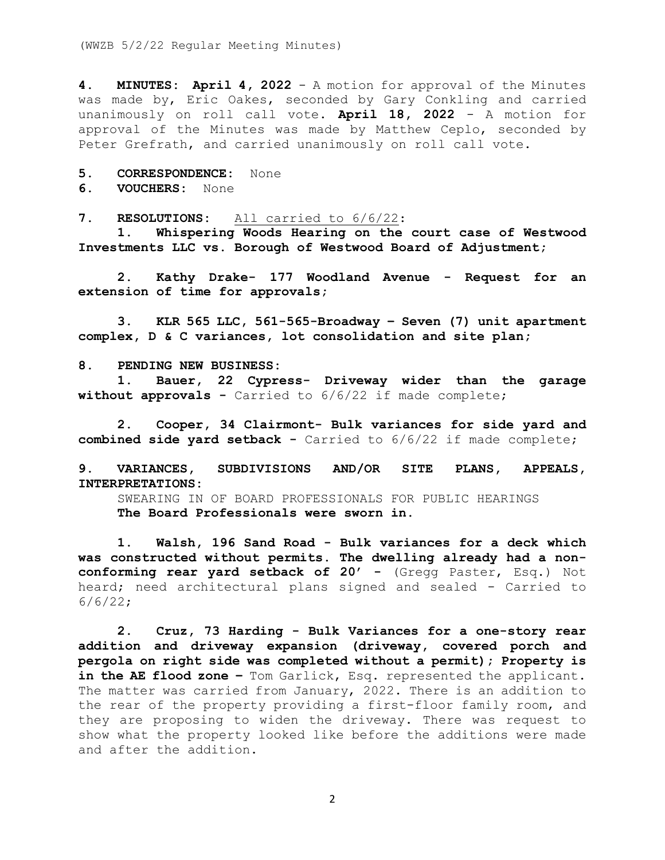**4. MINUTES: April 4, 2022** - A motion for approval of the Minutes was made by, Eric Oakes, seconded by Gary Conkling and carried unanimously on roll call vote. **April 18, 2022** - A motion for approval of the Minutes was made by Matthew Ceplo, seconded by Peter Grefrath, and carried unanimously on roll call vote.

**5. CORRESPONDENCE:** None

**6. VOUCHERS:** None

**7. RESOLUTIONS:** All carried to 6/6/22:

**1. Whispering Woods Hearing on the court case of Westwood Investments LLC vs. Borough of Westwood Board of Adjustment;** 

**2. Kathy Drake- 177 Woodland Avenue - Request for an extension of time for approvals;**

**3. KLR 565 LLC, 561-565-Broadway – Seven (7) unit apartment complex, D & C variances, lot consolidation and site plan;**

### **8. PENDING NEW BUSINESS:**

**1. Bauer, 22 Cypress- Driveway wider than the garage without approvals -** Carried to 6/6/22 if made complete;

**2. Cooper, 34 Clairmont- Bulk variances for side yard and combined side yard setback -** Carried to 6/6/22 if made complete;

**9. VARIANCES, SUBDIVISIONS AND/OR SITE PLANS, APPEALS, INTERPRETATIONS:**

SWEARING IN OF BOARD PROFESSIONALS FOR PUBLIC HEARINGS **The Board Professionals were sworn in.**

**1. Walsh, 196 Sand Road - Bulk variances for a deck which was constructed without permits. The dwelling already had a nonconforming rear yard setback of 20' - (Gregg Paster, Esq.) Not** heard; need architectural plans signed and sealed - Carried to 6/6/22;

**2. Cruz, 73 Harding - Bulk Variances for a one-story rear addition and driveway expansion (driveway, covered porch and pergola on right side was completed without a permit); Property is in the AE flood zone –** Tom Garlick, Esq. represented the applicant. The matter was carried from January, 2022. There is an addition to the rear of the property providing a first-floor family room, and they are proposing to widen the driveway. There was request to show what the property looked like before the additions were made and after the addition.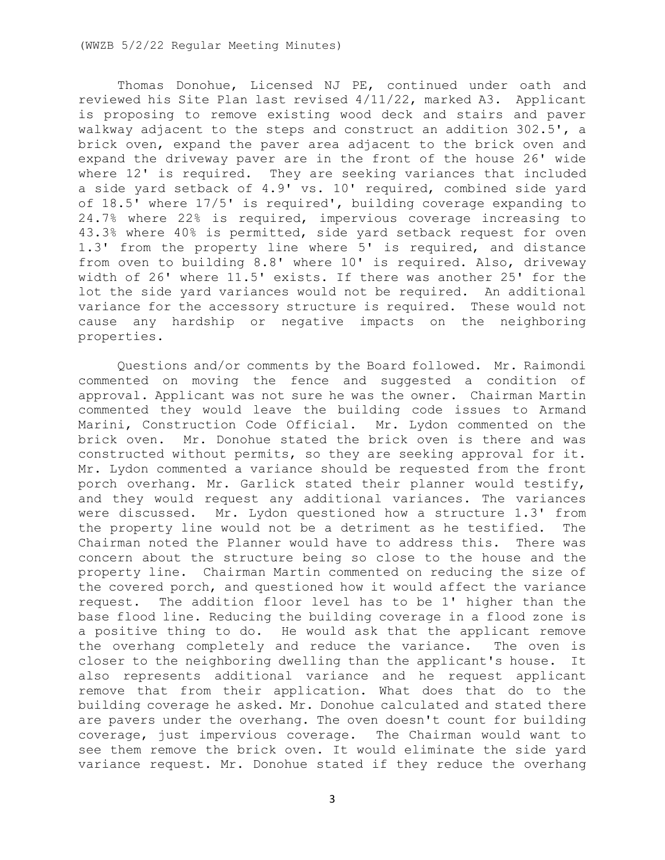Thomas Donohue, Licensed NJ PE, continued under oath and reviewed his Site Plan last revised 4/11/22, marked A3. Applicant is proposing to remove existing wood deck and stairs and paver walkway adjacent to the steps and construct an addition 302.5', a brick oven, expand the paver area adjacent to the brick oven and expand the driveway paver are in the front of the house 26' wide where 12' is required. They are seeking variances that included a side yard setback of 4.9' vs. 10' required, combined side yard of 18.5' where 17/5' is required', building coverage expanding to 24.7% where 22% is required, impervious coverage increasing to 43.3% where 40% is permitted, side yard setback request for oven 1.3' from the property line where 5' is required, and distance from oven to building 8.8' where 10' is required. Also, driveway width of 26' where 11.5' exists. If there was another 25' for the lot the side yard variances would not be required. An additional variance for the accessory structure is required. These would not cause any hardship or negative impacts on the neighboring properties.

Questions and/or comments by the Board followed. Mr. Raimondi commented on moving the fence and suggested a condition of approval. Applicant was not sure he was the owner. Chairman Martin commented they would leave the building code issues to Armand Marini, Construction Code Official. Mr. Lydon commented on the brick oven. Mr. Donohue stated the brick oven is there and was constructed without permits, so they are seeking approval for it. Mr. Lydon commented a variance should be requested from the front porch overhang. Mr. Garlick stated their planner would testify, and they would request any additional variances. The variances were discussed. Mr. Lydon questioned how a structure 1.3' from the property line would not be a detriment as he testified. The Chairman noted the Planner would have to address this. There was concern about the structure being so close to the house and the property line. Chairman Martin commented on reducing the size of the covered porch, and questioned how it would affect the variance request. The addition floor level has to be 1' higher than the base flood line. Reducing the building coverage in a flood zone is a positive thing to do. He would ask that the applicant remove the overhang completely and reduce the variance. The oven is closer to the neighboring dwelling than the applicant's house. It also represents additional variance and he request applicant remove that from their application. What does that do to the building coverage he asked. Mr. Donohue calculated and stated there are pavers under the overhang. The oven doesn't count for building coverage, just impervious coverage. The Chairman would want to see them remove the brick oven. It would eliminate the side yard variance request. Mr. Donohue stated if they reduce the overhang

3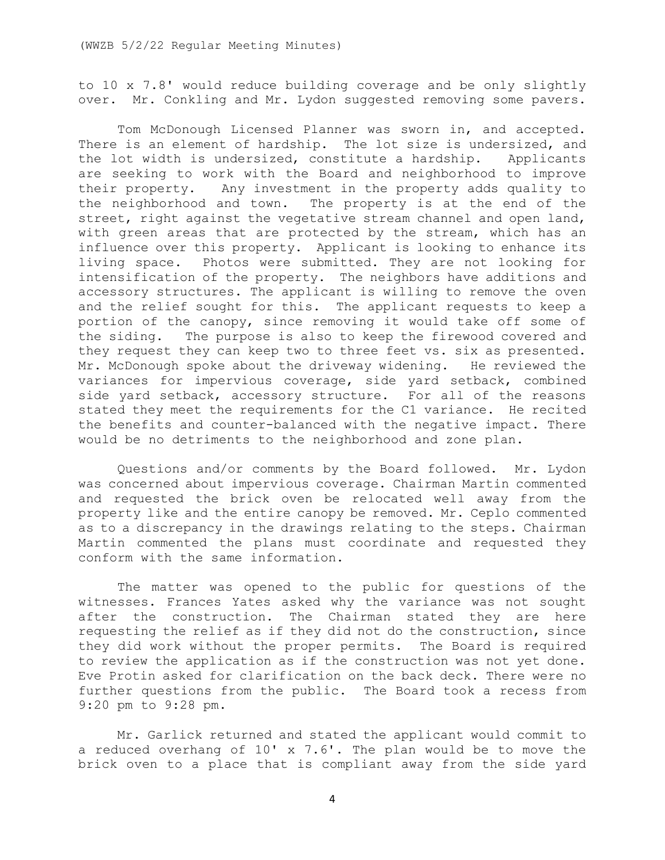to 10 x 7.8' would reduce building coverage and be only slightly over. Mr. Conkling and Mr. Lydon suggested removing some pavers.

Tom McDonough Licensed Planner was sworn in, and accepted. There is an element of hardship. The lot size is undersized, and the lot width is undersized, constitute a hardship. Applicants are seeking to work with the Board and neighborhood to improve their property. Any investment in the property adds quality to the neighborhood and town. The property is at the end of the street, right against the vegetative stream channel and open land, with green areas that are protected by the stream, which has an influence over this property. Applicant is looking to enhance its living space. Photos were submitted. They are not looking for intensification of the property. The neighbors have additions and accessory structures. The applicant is willing to remove the oven and the relief sought for this. The applicant requests to keep a portion of the canopy, since removing it would take off some of the siding. The purpose is also to keep the firewood covered and they request they can keep two to three feet vs. six as presented. Mr. McDonough spoke about the driveway widening. He reviewed the variances for impervious coverage, side yard setback, combined side yard setback, accessory structure. For all of the reasons stated they meet the requirements for the C1 variance. He recited the benefits and counter-balanced with the negative impact. There would be no detriments to the neighborhood and zone plan.

Questions and/or comments by the Board followed. Mr. Lydon was concerned about impervious coverage. Chairman Martin commented and requested the brick oven be relocated well away from the property like and the entire canopy be removed. Mr. Ceplo commented as to a discrepancy in the drawings relating to the steps. Chairman Martin commented the plans must coordinate and requested they conform with the same information.

The matter was opened to the public for questions of the witnesses. Frances Yates asked why the variance was not sought after the construction. The Chairman stated they are here requesting the relief as if they did not do the construction, since they did work without the proper permits. The Board is required to review the application as if the construction was not yet done. Eve Protin asked for clarification on the back deck. There were no further questions from the public. The Board took a recess from 9:20 pm to 9:28 pm.

Mr. Garlick returned and stated the applicant would commit to a reduced overhang of 10' x 7.6'. The plan would be to move the brick oven to a place that is compliant away from the side yard